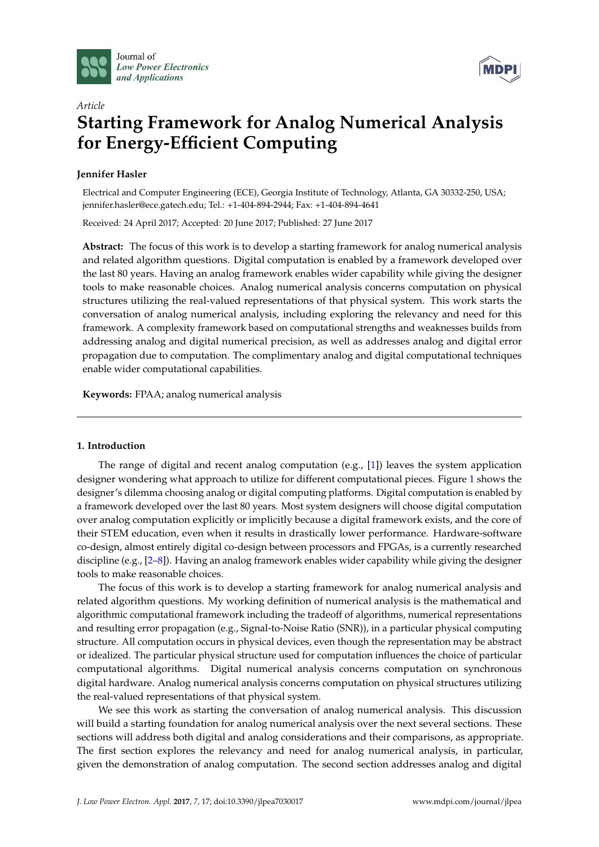



# *Article* **Starting Framework for Analog Numerical Analysis for Energy-Efficient Computing**

# **Jennifer Hasler**

Electrical and Computer Engineering (ECE), Georgia Institute of Technology, Atlanta, GA 30332-250, USA; jennifer.hasler@ece.gatech.edu; Tel.: +1-404-894-2944; Fax: +1-404-894-4641

Received: 24 April 2017; Accepted: 20 June 2017; Published: 27 June 2017

**Abstract:** The focus of this work is to develop a starting framework for analog numerical analysis and related algorithm questions. Digital computation is enabled by a framework developed over the last 80 years. Having an analog framework enables wider capability while giving the designer tools to make reasonable choices. Analog numerical analysis concerns computation on physical structures utilizing the real-valued representations of that physical system. This work starts the conversation of analog numerical analysis, including exploring the relevancy and need for this framework. A complexity framework based on computational strengths and weaknesses builds from addressing analog and digital numerical precision, as well as addresses analog and digital error propagation due to computation. The complimentary analog and digital computational techniques enable wider computational capabilities.

**Keywords:** FPAA; analog numerical analysis

# **1. Introduction**

The range of digital and recent analog computation (e.g., [\[1\]](#page-17-0)) leaves the system application designer wondering what approach to utilize for different computational pieces. Figure [1](#page-1-0) shows the designer's dilemma choosing analog or digital computing platforms. Digital computation is enabled by a framework developed over the last 80 years. Most system designers will choose digital computation over analog computation explicitly or implicitly because a digital framework exists, and the core of their STEM education, even when it results in drastically lower performance. Hardware-software co-design, almost entirely digital co-design between processors and FPGAs, is a currently researched discipline (e.g., [\[2–](#page-17-1)[8\]](#page-18-0)). Having an analog framework enables wider capability while giving the designer tools to make reasonable choices.

The focus of this work is to develop a starting framework for analog numerical analysis and related algorithm questions. My working definition of numerical analysis is the mathematical and algorithmic computational framework including the tradeoff of algorithms, numerical representations and resulting error propagation (e.g., Signal-to-Noise Ratio (SNR)), in a particular physical computing structure. All computation occurs in physical devices, even though the representation may be abstract or idealized. The particular physical structure used for computation influences the choice of particular computational algorithms. Digital numerical analysis concerns computation on synchronous digital hardware. Analog numerical analysis concerns computation on physical structures utilizing the real-valued representations of that physical system.

We see this work as starting the conversation of analog numerical analysis. This discussion will build a starting foundation for analog numerical analysis over the next several sections. These sections will address both digital and analog considerations and their comparisons, as appropriate. The first section explores the relevancy and need for analog numerical analysis, in particular, given the demonstration of analog computation. The second section addresses analog and digital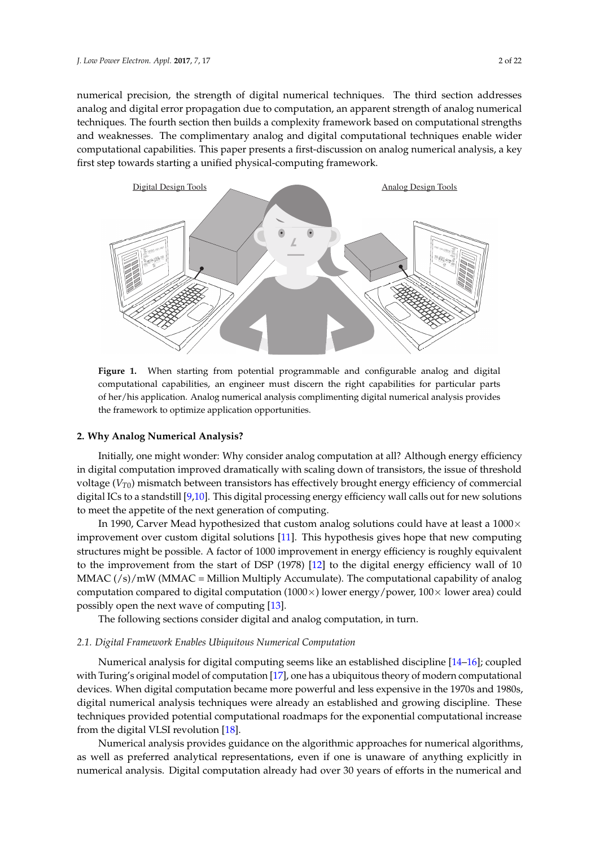numerical precision, the strength of digital numerical techniques. The third section addresses analog and digital error propagation due to computation, an apparent strength of analog numerical techniques. The fourth section then builds a complexity framework based on computational strengths and weaknesses. The complimentary analog and digital computational techniques enable wider computational capabilities. This paper presents a first-discussion on analog numerical analysis, a key first step towards starting a unified physical-computing framework.

<span id="page-1-0"></span>

**Figure 1.** When starting from potential programmable and configurable analog and digital computational capabilities, an engineer must discern the right capabilities for particular parts of her/his application. Analog numerical analysis complimenting digital numerical analysis provides the framework to optimize application opportunities.

# <span id="page-1-1"></span>**2. Why Analog Numerical Analysis?**

Initially, one might wonder: Why consider analog computation at all? Although energy efficiency in digital computation improved dramatically with scaling down of transistors, the issue of threshold voltage (*VT*0) mismatch between transistors has effectively brought energy efficiency of commercial digital ICs to a standstill [\[9,](#page-18-1)[10\]](#page-18-2). This digital processing energy efficiency wall calls out for new solutions to meet the appetite of the next generation of computing.

In 1990, Carver Mead hypothesized that custom analog solutions could have at least a  $1000 \times$ improvement over custom digital solutions [\[11\]](#page-18-3). This hypothesis gives hope that new computing structures might be possible. A factor of 1000 improvement in energy efficiency is roughly equivalent to the improvement from the start of DSP (1978) [\[12\]](#page-18-4) to the digital energy efficiency wall of 10 MMAC  $\frac{s}{s}$  mW (MMAC = Million Multiply Accumulate). The computational capability of analog computation compared to digital computation  $(1000\times)$  lower energy/power,  $100\times$  lower area) could possibly open the next wave of computing [\[13\]](#page-18-5).

The following sections consider digital and analog computation, in turn.

#### *2.1. Digital Framework Enables Ubiquitous Numerical Computation*

Numerical analysis for digital computing seems like an established discipline [\[14](#page-18-6)[–16\]](#page-18-7); coupled with Turing's original model of computation [\[17\]](#page-18-8), one has a ubiquitous theory of modern computational devices. When digital computation became more powerful and less expensive in the 1970s and 1980s, digital numerical analysis techniques were already an established and growing discipline. These techniques provided potential computational roadmaps for the exponential computational increase from the digital VLSI revolution [\[18\]](#page-18-9).

Numerical analysis provides guidance on the algorithmic approaches for numerical algorithms, as well as preferred analytical representations, even if one is unaware of anything explicitly in numerical analysis. Digital computation already had over 30 years of efforts in the numerical and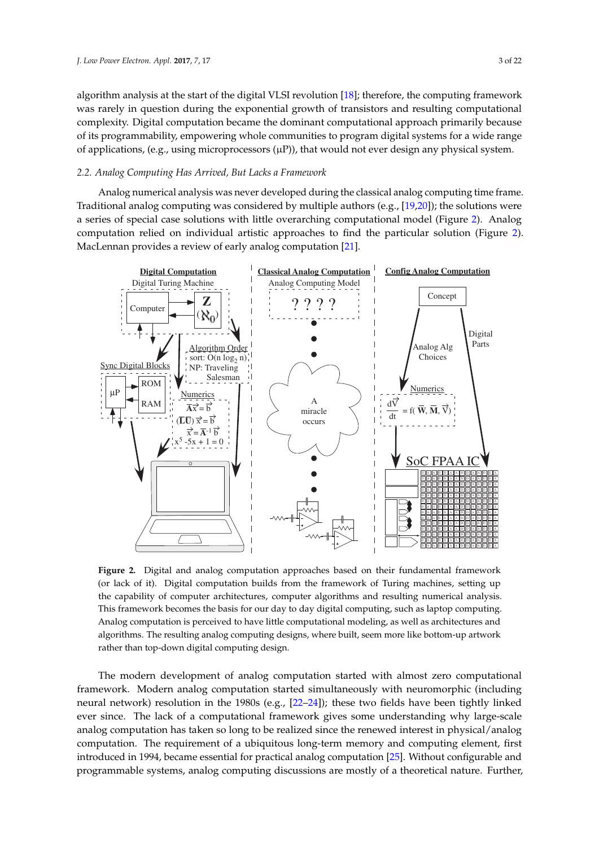algorithm analysis at the start of the digital VLSI revolution [\[18\]](#page-18-9); therefore, the computing framework was rarely in question during the exponential growth of transistors and resulting computational complexity. Digital computation became the dominant computational approach primarily because of its programmability, empowering whole communities to program digital systems for a wide range of applications, (e.g., using microprocessors  $(\mu P)$ ), that would not ever design any physical system.

#### <span id="page-2-1"></span>*2.2. Analog Computing Has Arrived, But Lacks a Framework*

Analog numerical analysis was never developed during the classical analog computing time frame. Traditional analog computing was considered by multiple authors (e.g., [\[19,](#page-18-10)[20\]](#page-18-11)); the solutions were a series of special case solutions with little overarching computational model (Figure [2\)](#page-2-0). Analog computation relied on individual artistic approaches to find the particular solution (Figure [2\)](#page-2-0). MacLennan provides a review of early analog computation [\[21\]](#page-18-12).

<span id="page-2-0"></span>

**Figure 2.** Digital and analog computation approaches based on their fundamental framework (or lack of it). Digital computation builds from the framework of Turing machines, setting up the capability of computer architectures, computer algorithms and resulting numerical analysis. This framework becomes the basis for our day to day digital computing, such as laptop computing. Analog computation is perceived to have little computational modeling, as well as architectures and algorithms. The resulting analog computing designs, where built, seem more like bottom-up artwork rather than top-down digital computing design.

The modern development of analog computation started with almost zero computational framework. Modern analog computation started simultaneously with neuromorphic (including neural network) resolution in the 1980s (e.g., [\[22](#page-18-13)[–24\]](#page-18-14)); these two fields have been tightly linked ever since. The lack of a computational framework gives some understanding why large-scale analog computation has taken so long to be realized since the renewed interest in physical/analog computation. The requirement of a ubiquitous long-term memory and computing element, first introduced in 1994, became essential for practical analog computation [\[25\]](#page-18-15). Without configurable and programmable systems, analog computing discussions are mostly of a theoretical nature. Further,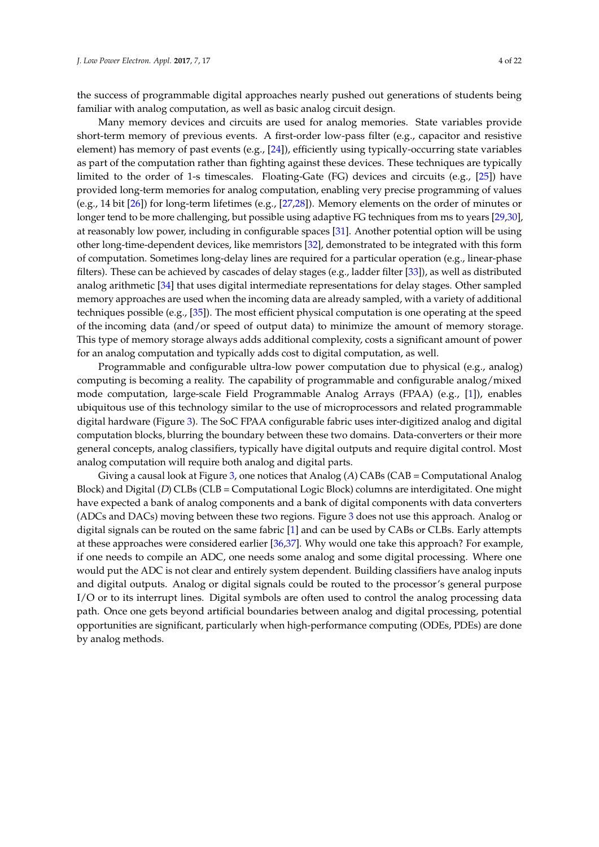the success of programmable digital approaches nearly pushed out generations of students being familiar with analog computation, as well as basic analog circuit design.

Many memory devices and circuits are used for analog memories. State variables provide short-term memory of previous events. A first-order low-pass filter (e.g., capacitor and resistive element) has memory of past events (e.g., [\[24\]](#page-18-14)), efficiently using typically-occurring state variables as part of the computation rather than fighting against these devices. These techniques are typically limited to the order of 1-s timescales. Floating-Gate (FG) devices and circuits (e.g., [\[25\]](#page-18-15)) have provided long-term memories for analog computation, enabling very precise programming of values (e.g., 14 bit [\[26\]](#page-18-16)) for long-term lifetimes (e.g., [\[27](#page-18-17)[,28\]](#page-18-18)). Memory elements on the order of minutes or longer tend to be more challenging, but possible using adaptive FG techniques from ms to years [\[29](#page-18-19)[,30\]](#page-18-20), at reasonably low power, including in configurable spaces [\[31\]](#page-18-21). Another potential option will be using other long-time-dependent devices, like memristors [\[32\]](#page-19-0), demonstrated to be integrated with this form of computation. Sometimes long-delay lines are required for a particular operation (e.g., linear-phase filters). These can be achieved by cascades of delay stages (e.g., ladder filter [\[33\]](#page-19-1)), as well as distributed analog arithmetic [\[34\]](#page-19-2) that uses digital intermediate representations for delay stages. Other sampled memory approaches are used when the incoming data are already sampled, with a variety of additional techniques possible (e.g., [\[35\]](#page-19-3)). The most efficient physical computation is one operating at the speed of the incoming data (and/or speed of output data) to minimize the amount of memory storage. This type of memory storage always adds additional complexity, costs a significant amount of power for an analog computation and typically adds cost to digital computation, as well.

Programmable and configurable ultra-low power computation due to physical (e.g., analog) computing is becoming a reality. The capability of programmable and configurable analog/mixed mode computation, large-scale Field Programmable Analog Arrays (FPAA) (e.g., [\[1\]](#page-17-0)), enables ubiquitous use of this technology similar to the use of microprocessors and related programmable digital hardware (Figure [3\)](#page-4-0). The SoC FPAA configurable fabric uses inter-digitized analog and digital computation blocks, blurring the boundary between these two domains. Data-converters or their more general concepts, analog classifiers, typically have digital outputs and require digital control. Most analog computation will require both analog and digital parts.

Giving a causal look at Figure [3,](#page-4-0) one notices that Analog (A) CABs (CAB = Computational Analog Block) and Digital (D) CLBs (CLB = Computational Logic Block) columns are interdigitated. One might have expected a bank of analog components and a bank of digital components with data converters (ADCs and DACs) moving between these two regions. Figure [3](#page-4-0) does not use this approach. Analog or digital signals can be routed on the same fabric [\[1\]](#page-17-0) and can be used by CABs or CLBs. Early attempts at these approaches were considered earlier [\[36](#page-19-4)[,37\]](#page-19-5). Why would one take this approach? For example, if one needs to compile an ADC, one needs some analog and some digital processing. Where one would put the ADC is not clear and entirely system dependent. Building classifiers have analog inputs and digital outputs. Analog or digital signals could be routed to the processor's general purpose I/O or to its interrupt lines. Digital symbols are often used to control the analog processing data path. Once one gets beyond artificial boundaries between analog and digital processing, potential opportunities are significant, particularly when high-performance computing (ODEs, PDEs) are done by analog methods.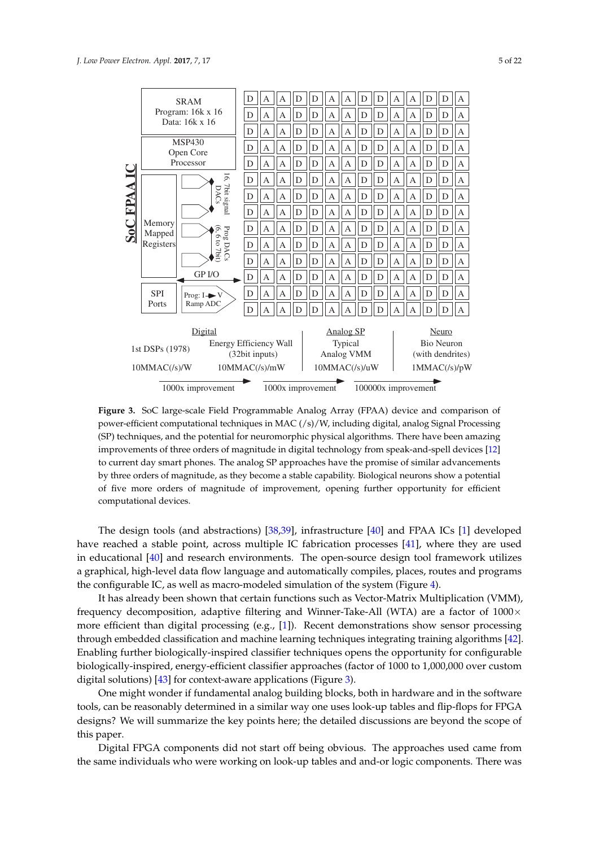<span id="page-4-0"></span>

**Figure 3.** SoC large-scale Field Programmable Analog Array (FPAA) device and comparison of power-efficient computational techniques in MAC (/s)/W, including digital, analog Signal Processing (SP) techniques, and the potential for neuromorphic physical algorithms. There have been amazing improvements of three orders of magnitude in digital technology from speak-and-spell devices [\[12\]](#page-18-4) to current day smart phones. The analog SP approaches have the promise of similar advancements by three orders of magnitude, as they become a stable capability. Biological neurons show a potential of five more orders of magnitude of improvement, opening further opportunity for efficient computational devices.

The design tools (and abstractions) [\[38](#page-19-6)[,39\]](#page-19-7), infrastructure [\[40\]](#page-19-8) and FPAA ICs [\[1\]](#page-17-0) developed have reached a stable point, across multiple IC fabrication processes [\[41\]](#page-19-9), where they are used in educational [\[40\]](#page-19-8) and research environments. The open-source design tool framework utilizes a graphical, high-level data flow language and automatically compiles, places, routes and programs the configurable IC, as well as macro-modeled simulation of the system (Figure [4\)](#page-5-0).

It has already been shown that certain functions such as Vector-Matrix Multiplication (VMM), frequency decomposition, adaptive filtering and Winner-Take-All (WTA) are a factor of  $1000 \times$ more efficient than digital processing (e.g., [\[1\]](#page-17-0)). Recent demonstrations show sensor processing through embedded classification and machine learning techniques integrating training algorithms [\[42\]](#page-19-10). Enabling further biologically-inspired classifier techniques opens the opportunity for configurable biologically-inspired, energy-efficient classifier approaches (factor of 1000 to 1,000,000 over custom digital solutions) [\[43\]](#page-19-11) for context-aware applications (Figure [3\)](#page-4-0).

One might wonder if fundamental analog building blocks, both in hardware and in the software tools, can be reasonably determined in a similar way one uses look-up tables and flip-flops for FPGA designs? We will summarize the key points here; the detailed discussions are beyond the scope of this paper.

Digital FPGA components did not start off being obvious. The approaches used came from the same individuals who were working on look-up tables and and-or logic components. There was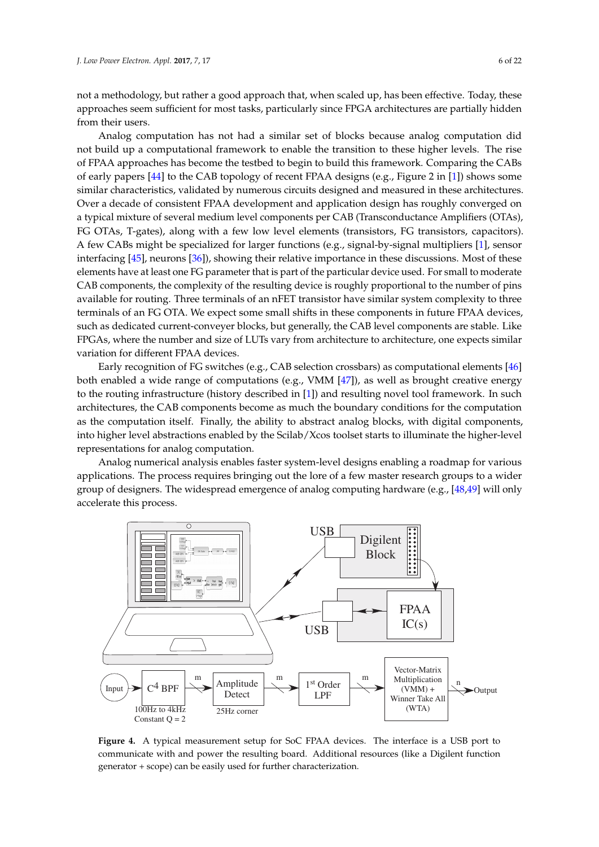not a methodology, but rather a good approach that, when scaled up, has been effective. Today, these approaches seem sufficient for most tasks, particularly since FPGA architectures are partially hidden from their users.

Analog computation has not had a similar set of blocks because analog computation did not build up a computational framework to enable the transition to these higher levels. The rise of FPAA approaches has become the testbed to begin to build this framework. Comparing the CABs of early papers [\[44\]](#page-19-12) to the CAB topology of recent FPAA designs (e.g., Figure 2 in [\[1\]](#page-17-0)) shows some similar characteristics, validated by numerous circuits designed and measured in these architectures. Over a decade of consistent FPAA development and application design has roughly converged on a typical mixture of several medium level components per CAB (Transconductance Amplifiers (OTAs), FG OTAs, T-gates), along with a few low level elements (transistors, FG transistors, capacitors). A few CABs might be specialized for larger functions (e.g., signal-by-signal multipliers [\[1\]](#page-17-0), sensor interfacing [\[45\]](#page-19-13), neurons [\[36\]](#page-19-4)), showing their relative importance in these discussions. Most of these elements have at least one FG parameter that is part of the particular device used. For small to moderate CAB components, the complexity of the resulting device is roughly proportional to the number of pins available for routing. Three terminals of an nFET transistor have similar system complexity to three terminals of an FG OTA. We expect some small shifts in these components in future FPAA devices, such as dedicated current-conveyer blocks, but generally, the CAB level components are stable. Like FPGAs, where the number and size of LUTs vary from architecture to architecture, one expects similar variation for different FPAA devices.

Early recognition of FG switches (e.g., CAB selection crossbars) as computational elements [\[46\]](#page-19-14) both enabled a wide range of computations (e.g., VMM [\[47\]](#page-19-15)), as well as brought creative energy to the routing infrastructure (history described in [\[1\]](#page-17-0)) and resulting novel tool framework. In such architectures, the CAB components become as much the boundary conditions for the computation as the computation itself. Finally, the ability to abstract analog blocks, with digital components, into higher level abstractions enabled by the Scilab/Xcos toolset starts to illuminate the higher-level representations for analog computation.

Analog numerical analysis enables faster system-level designs enabling a roadmap for various applications. The process requires bringing out the lore of a few master research groups to a wider group of designers. The widespread emergence of analog computing hardware (e.g., [\[48](#page-19-16)[,49\]](#page-19-17) will only accelerate this process.

<span id="page-5-0"></span>![](_page_5_Figure_5.jpeg)

**Figure 4.** A typical measurement setup for SoC FPAA devices. The interface is a USB port to communicate with and power the resulting board. Additional resources (like a Digilent function generator + scope) can be easily used for further characterization.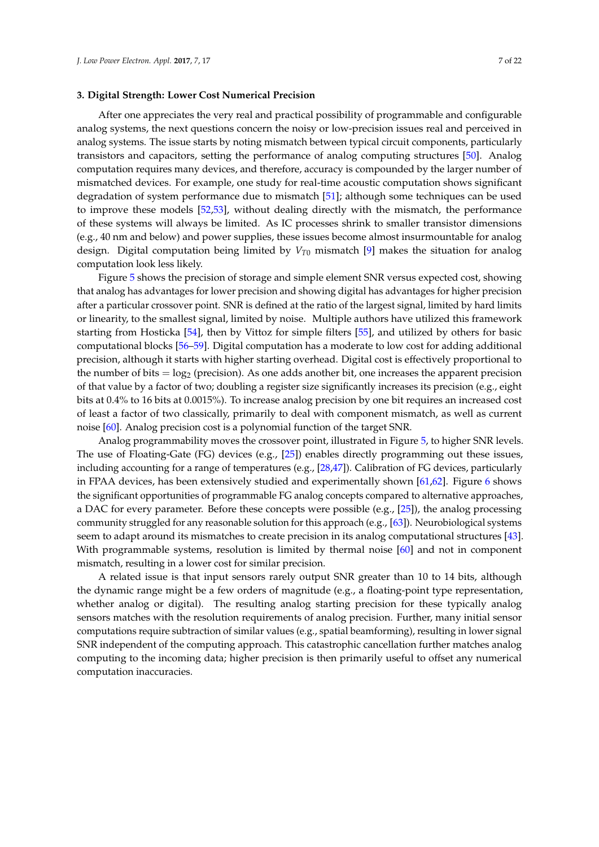#### **3. Digital Strength: Lower Cost Numerical Precision**

After one appreciates the very real and practical possibility of programmable and configurable analog systems, the next questions concern the noisy or low-precision issues real and perceived in analog systems. The issue starts by noting mismatch between typical circuit components, particularly transistors and capacitors, setting the performance of analog computing structures [\[50\]](#page-19-18). Analog computation requires many devices, and therefore, accuracy is compounded by the larger number of mismatched devices. For example, one study for real-time acoustic computation shows significant degradation of system performance due to mismatch [\[51\]](#page-19-19); although some techniques can be used to improve these models [\[52,](#page-19-20)[53\]](#page-19-21), without dealing directly with the mismatch, the performance of these systems will always be limited. As IC processes shrink to smaller transistor dimensions (e.g., 40 nm and below) and power supplies, these issues become almost insurmountable for analog design. Digital computation being limited by *VT*<sup>0</sup> mismatch [\[9\]](#page-18-1) makes the situation for analog computation look less likely.

Figure [5](#page-7-0) shows the precision of storage and simple element SNR versus expected cost, showing that analog has advantages for lower precision and showing digital has advantages for higher precision after a particular crossover point. SNR is defined at the ratio of the largest signal, limited by hard limits or linearity, to the smallest signal, limited by noise. Multiple authors have utilized this framework starting from Hosticka [\[54\]](#page-19-22), then by Vittoz for simple filters [\[55\]](#page-19-23), and utilized by others for basic computational blocks [\[56–](#page-20-0)[59\]](#page-20-1). Digital computation has a moderate to low cost for adding additional precision, although it starts with higher starting overhead. Digital cost is effectively proportional to the number of bits  $= \log_2$  (precision). As one adds another bit, one increases the apparent precision of that value by a factor of two; doubling a register size significantly increases its precision (e.g., eight bits at 0.4% to 16 bits at 0.0015%). To increase analog precision by one bit requires an increased cost of least a factor of two classically, primarily to deal with component mismatch, as well as current noise [\[60\]](#page-20-2). Analog precision cost is a polynomial function of the target SNR.

Analog programmability moves the crossover point, illustrated in Figure [5,](#page-7-0) to higher SNR levels. The use of Floating-Gate (FG) devices (e.g., [\[25\]](#page-18-15)) enables directly programming out these issues, including accounting for a range of temperatures (e.g., [\[28](#page-18-18)[,47\]](#page-19-15)). Calibration of FG devices, particularly in FPAA devices, has been extensively studied and experimentally shown [\[61](#page-20-3)[,62\]](#page-20-4). Figure [6](#page-7-1) shows the significant opportunities of programmable FG analog concepts compared to alternative approaches, a DAC for every parameter. Before these concepts were possible (e.g., [\[25\]](#page-18-15)), the analog processing community struggled for any reasonable solution for this approach (e.g., [\[63\]](#page-20-5)). Neurobiological systems seem to adapt around its mismatches to create precision in its analog computational structures [\[43\]](#page-19-11). With programmable systems, resolution is limited by thermal noise [\[60\]](#page-20-2) and not in component mismatch, resulting in a lower cost for similar precision.

A related issue is that input sensors rarely output SNR greater than 10 to 14 bits, although the dynamic range might be a few orders of magnitude (e.g., a floating-point type representation, whether analog or digital). The resulting analog starting precision for these typically analog sensors matches with the resolution requirements of analog precision. Further, many initial sensor computations require subtraction of similar values (e.g., spatial beamforming), resulting in lower signal SNR independent of the computing approach. This catastrophic cancellation further matches analog computing to the incoming data; higher precision is then primarily useful to offset any numerical computation inaccuracies.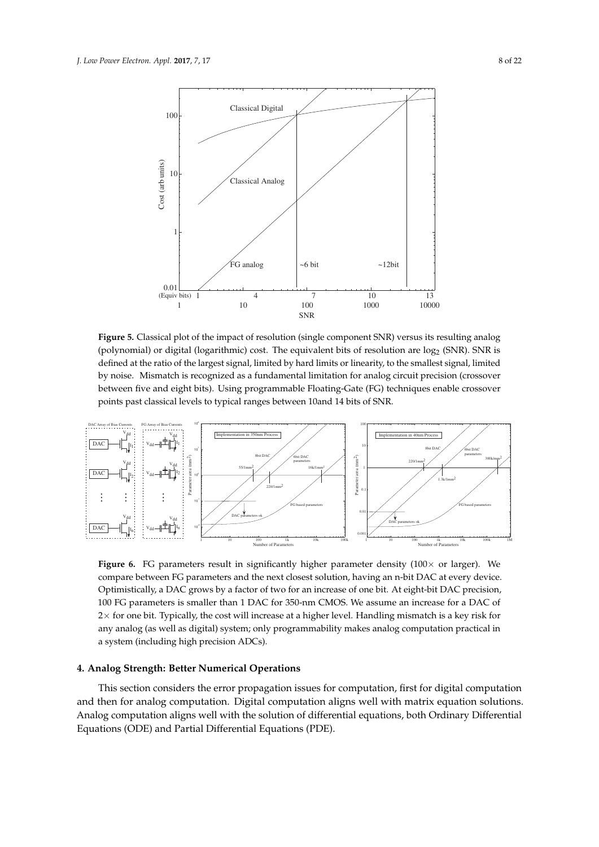<span id="page-7-0"></span>![](_page_7_Figure_1.jpeg)

**Figure 5.** Classical plot of the impact of resolution (single component SNR) versus its resulting analog (polynomial) or digital (logarithmic) cost. The equivalent bits of resolution are log<sub>2</sub> (SNR). SNR is defined at the ratio of the largest signal, limited by hard limits or linearity, to the smallest signal, limited by noise. Mismatch is recognized as a fundamental limitation for analog circuit precision (crossover between five and eight bits). Using programmable Floating-Gate (FG) techniques enable crossover points past classical levels to typical ranges between 10and 14 bits of SNR.

<span id="page-7-1"></span>![](_page_7_Figure_3.jpeg)

**Figure 6.** FG parameters result in significantly higher parameter density  $(100 \times$  or larger). We compare between FG parameters and the next closest solution, having an n-bit DAC at every device. Optimistically, a DAC grows by a factor of two for an increase of one bit. At eight-bit DAC precision, 100 FG parameters is smaller than 1 DAC for 350-nm CMOS. We assume an increase for a DAC of 2× for one bit. Typically, the cost will increase at a higher level. Handling mismatch is a key risk for any analog (as well as digital) system; only programmability makes analog computation practical in a system (including high precision ADCs).

#### **4. Analog Strength: Better Numerical Operations**

This section considers the error propagation issues for computation, first for digital computation and then for analog computation. Digital computation aligns well with matrix equation solutions. Analog computation aligns well with the solution of differential equations, both Ordinary Differential Equations (ODE) and Partial Differential Equations (PDE).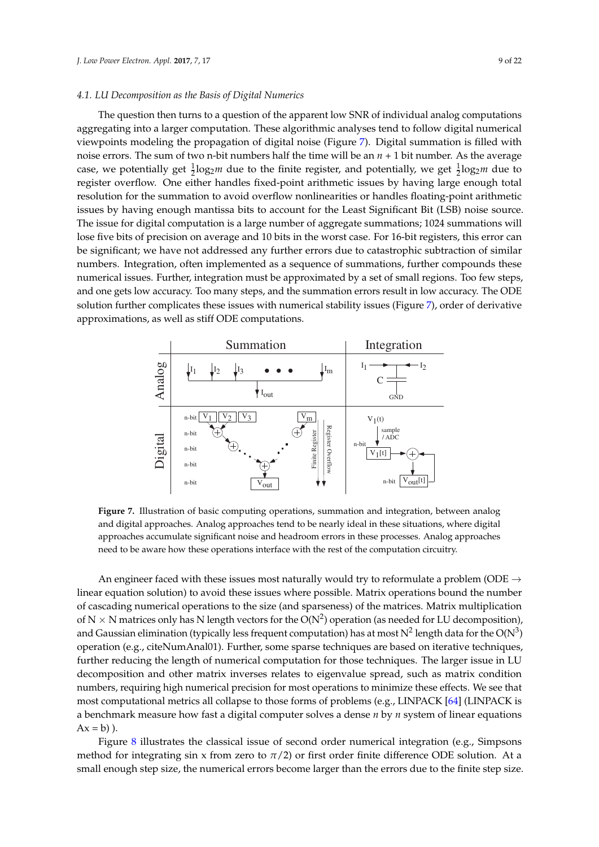#### *4.1. LU Decomposition as the Basis of Digital Numerics*

The question then turns to a question of the apparent low SNR of individual analog computations aggregating into a larger computation. These algorithmic analyses tend to follow digital numerical viewpoints modeling the propagation of digital noise (Figure [7\)](#page-8-0). Digital summation is filled with noise errors. The sum of two n-bit numbers half the time will be an  $n + 1$  bit number. As the average case, we potentially get  $\frac{1}{2} \log_2 m$  due to the finite register, and potentially, we get  $\frac{1}{2} \log_2 m$  due to register overflow. One either handles fixed-point arithmetic issues by having large enough total resolution for the summation to avoid overflow nonlinearities or handles floating-point arithmetic issues by having enough mantissa bits to account for the Least Significant Bit (LSB) noise source. The issue for digital computation is a large number of aggregate summations; 1024 summations will lose five bits of precision on average and 10 bits in the worst case. For 16-bit registers, this error can be significant; we have not addressed any further errors due to catastrophic subtraction of similar numbers. Integration, often implemented as a sequence of summations, further compounds these numerical issues. Further, integration must be approximated by a set of small regions. Too few steps, and one gets low accuracy. Too many steps, and the summation errors result in low accuracy. The ODE solution further complicates these issues with numerical stability issues (Figure [7\)](#page-8-0), order of derivative approximations, as well as stiff ODE computations.

<span id="page-8-0"></span>![](_page_8_Figure_3.jpeg)

**Figure 7.** Illustration of basic computing operations, summation and integration, between analog and digital approaches. Analog approaches tend to be nearly ideal in these situations, where digital approaches accumulate significant noise and headroom errors in these processes. Analog approaches need to be aware how these operations interface with the rest of the computation circuitry.

An engineer faced with these issues most naturally would try to reformulate a problem (ODE  $\rightarrow$ linear equation solution) to avoid these issues where possible. Matrix operations bound the number of cascading numerical operations to the size (and sparseness) of the matrices. Matrix multiplication of N  $\times$  N matrices only has N length vectors for the O(N<sup>2</sup>) operation (as needed for LU decomposition), and Gaussian elimination (typically less frequent computation) has at most  $\mathrm{N}^2$  length data for the  $\mathrm{O}(\mathrm{N}^3)$ operation (e.g., citeNumAnal01). Further, some sparse techniques are based on iterative techniques, further reducing the length of numerical computation for those techniques. The larger issue in LU decomposition and other matrix inverses relates to eigenvalue spread, such as matrix condition numbers, requiring high numerical precision for most operations to minimize these effects. We see that most computational metrics all collapse to those forms of problems (e.g., LINPACK [\[64\]](#page-20-6) (LINPACK is a benchmark measure how fast a digital computer solves a dense *n* by *n* system of linear equations  $Ax = b$ ).

Figure [8](#page-9-0) illustrates the classical issue of second order numerical integration (e.g., Simpsons method for integrating sin x from zero to  $\pi/2$ ) or first order finite difference ODE solution. At a small enough step size, the numerical errors become larger than the errors due to the finite step size.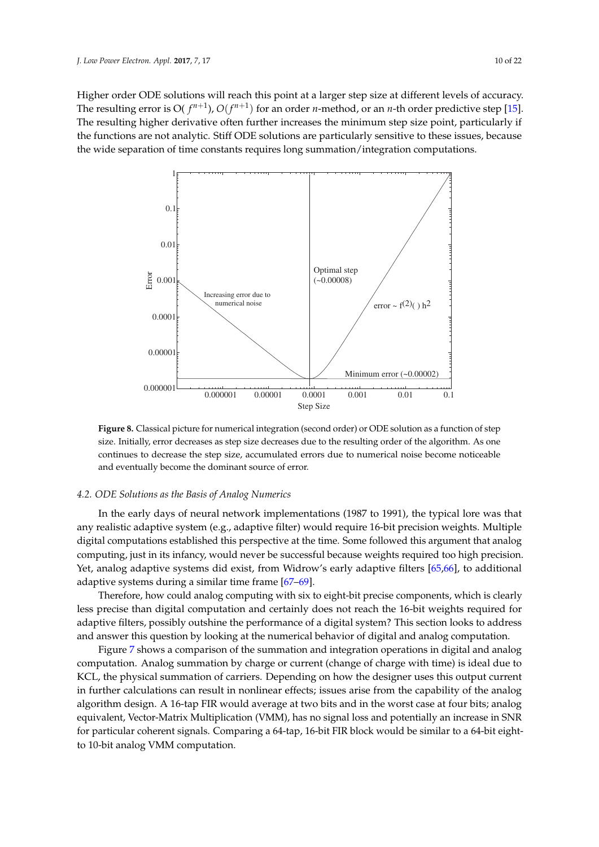Higher order ODE solutions will reach this point at a larger step size at different levels of accuracy. The resulting error is O(  $f^{n+1}$ ),  $O(f^{n+1})$  for an order *n*-method, or an *n*-th order predictive step [\[15\]](#page-18-22). The resulting higher derivative often further increases the minimum step size point, particularly if the functions are not analytic. Stiff ODE solutions are particularly sensitive to these issues, because the wide separation of time constants requires long summation/integration computations.

<span id="page-9-0"></span>![](_page_9_Figure_2.jpeg)

**Figure 8.** Classical picture for numerical integration (second order) or ODE solution as a function of step size. Initially, error decreases as step size decreases due to the resulting order of the algorithm. As one continues to decrease the step size, accumulated errors due to numerical noise become noticeable and eventually become the dominant source of error.

# *4.2. ODE Solutions as the Basis of Analog Numerics*

In the early days of neural network implementations (1987 to 1991), the typical lore was that any realistic adaptive system (e.g., adaptive filter) would require 16-bit precision weights. Multiple digital computations established this perspective at the time. Some followed this argument that analog computing, just in its infancy, would never be successful because weights required too high precision. Yet, analog adaptive systems did exist, from Widrow's early adaptive filters [\[65,](#page-20-7)[66\]](#page-20-8), to additional adaptive systems during a similar time frame [\[67](#page-20-9)[–69\]](#page-20-10).

Therefore, how could analog computing with six to eight-bit precise components, which is clearly less precise than digital computation and certainly does not reach the 16-bit weights required for adaptive filters, possibly outshine the performance of a digital system? This section looks to address and answer this question by looking at the numerical behavior of digital and analog computation.

Figure [7](#page-8-0) shows a comparison of the summation and integration operations in digital and analog computation. Analog summation by charge or current (change of charge with time) is ideal due to KCL, the physical summation of carriers. Depending on how the designer uses this output current in further calculations can result in nonlinear effects; issues arise from the capability of the analog algorithm design. A 16-tap FIR would average at two bits and in the worst case at four bits; analog equivalent, Vector-Matrix Multiplication (VMM), has no signal loss and potentially an increase in SNR for particular coherent signals. Comparing a 64-tap, 16-bit FIR block would be similar to a 64-bit eightto 10-bit analog VMM computation.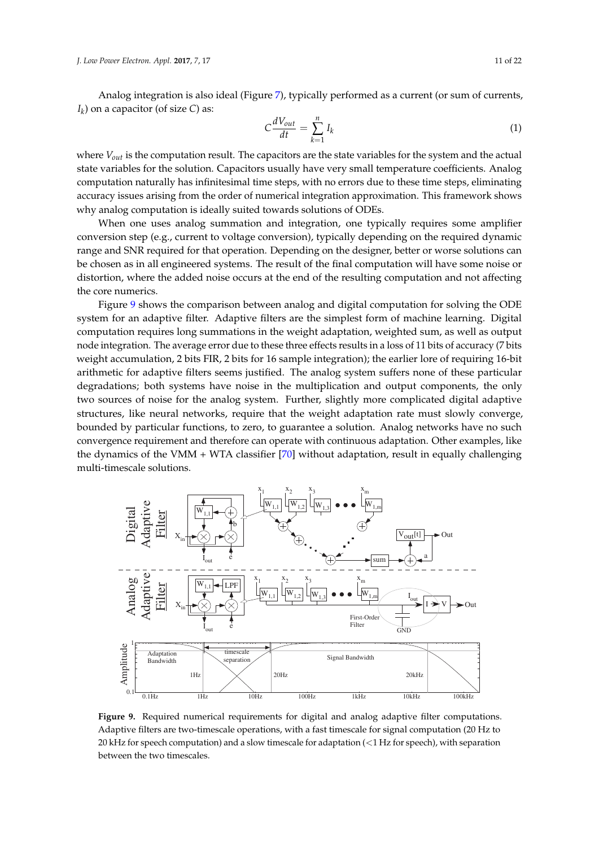Analog integration is also ideal (Figure [7\)](#page-8-0), typically performed as a current (or sum of currents, *Ik* ) on a capacitor (of size *C*) as:

$$
C\frac{dV_{out}}{dt} = \sum_{k=1}^{n} I_k
$$
 (1)

where *Vout* is the computation result. The capacitors are the state variables for the system and the actual state variables for the solution. Capacitors usually have very small temperature coefficients. Analog computation naturally has infinitesimal time steps, with no errors due to these time steps, eliminating accuracy issues arising from the order of numerical integration approximation. This framework shows why analog computation is ideally suited towards solutions of ODEs.

When one uses analog summation and integration, one typically requires some amplifier conversion step (e.g., current to voltage conversion), typically depending on the required dynamic range and SNR required for that operation. Depending on the designer, better or worse solutions can be chosen as in all engineered systems. The result of the final computation will have some noise or distortion, where the added noise occurs at the end of the resulting computation and not affecting the core numerics.

Figure [9](#page-10-0) shows the comparison between analog and digital computation for solving the ODE system for an adaptive filter. Adaptive filters are the simplest form of machine learning. Digital computation requires long summations in the weight adaptation, weighted sum, as well as output node integration. The average error due to these three effects results in a loss of 11 bits of accuracy (7 bits weight accumulation, 2 bits FIR, 2 bits for 16 sample integration); the earlier lore of requiring 16-bit arithmetic for adaptive filters seems justified. The analog system suffers none of these particular degradations; both systems have noise in the multiplication and output components, the only two sources of noise for the analog system. Further, slightly more complicated digital adaptive structures, like neural networks, require that the weight adaptation rate must slowly converge, bounded by particular functions, to zero, to guarantee a solution. Analog networks have no such convergence requirement and therefore can operate with continuous adaptation. Other examples, like the dynamics of the VMM + WTA classifier [\[70\]](#page-20-11) without adaptation, result in equally challenging multi-timescale solutions.

<span id="page-10-0"></span>![](_page_10_Figure_6.jpeg)

**Figure 9.** Required numerical requirements for digital and analog adaptive filter computations. Adaptive filters are two-timescale operations, with a fast timescale for signal computation (20 Hz to 20 kHz for speech computation) and a slow timescale for adaptation (<1 Hz for speech), with separation between the two timescales.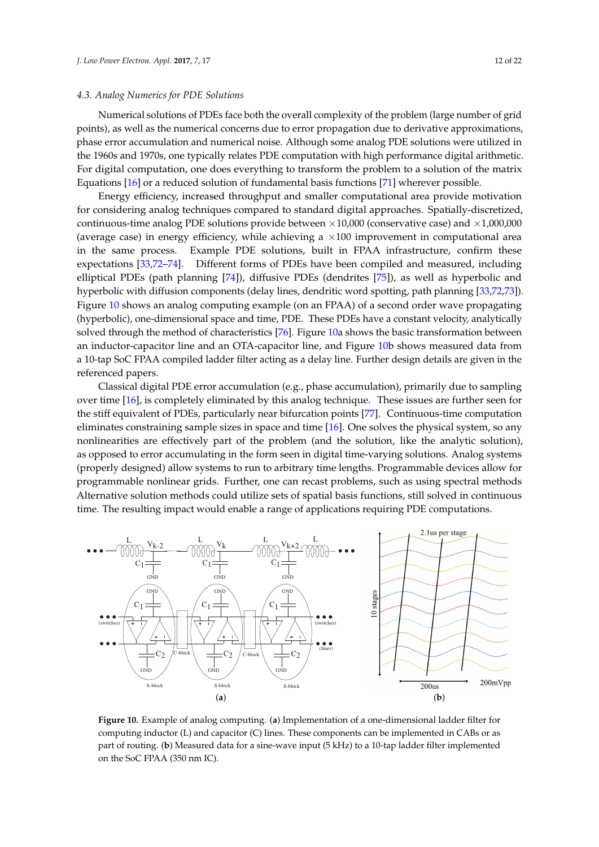#### *4.3. Analog Numerics for PDE Solutions*

Numerical solutions of PDEs face both the overall complexity of the problem (large number of grid points), as well as the numerical concerns due to error propagation due to derivative approximations, phase error accumulation and numerical noise. Although some analog PDE solutions were utilized in the 1960s and 1970s, one typically relates PDE computation with high performance digital arithmetic. For digital computation, one does everything to transform the problem to a solution of the matrix Equations [\[16\]](#page-18-7) or a reduced solution of fundamental basis functions [\[71\]](#page-20-12) wherever possible.

Energy efficiency, increased throughput and smaller computational area provide motivation for considering analog techniques compared to standard digital approaches. Spatially-discretized, continuous-time analog PDE solutions provide between  $\times 10,000$  (conservative case) and  $\times 1,000,000$ (average case) in energy efficiency, while achieving a  $\times 100$  improvement in computational area in the same process. Example PDE solutions, built in FPAA infrastructure, confirm these expectations [\[33](#page-19-1)[,72–](#page-20-13)[74\]](#page-20-14). Different forms of PDEs have been compiled and measured, including elliptical PDEs (path planning [\[74\]](#page-20-14)), diffusive PDEs (dendrites [\[75\]](#page-20-15)), as well as hyperbolic and hyperbolic with diffusion components (delay lines, dendritic word spotting, path planning [\[33,](#page-19-1)[72,](#page-20-13)[73\]](#page-20-16)). Figure [10](#page-11-0) shows an analog computing example (on an FPAA) of a second order wave propagating (hyperbolic), one-dimensional space and time, PDE. These PDEs have a constant velocity, analytically solved through the method of characteristics [\[76\]](#page-20-17). Figure [10a](#page-11-0) shows the basic transformation between an inductor-capacitor line and an OTA-capacitor line, and Figure [10b](#page-11-0) shows measured data from a 10-tap SoC FPAA compiled ladder filter acting as a delay line. Further design details are given in the referenced papers.

Classical digital PDE error accumulation (e.g., phase accumulation), primarily due to sampling over time [\[16\]](#page-18-7), is completely eliminated by this analog technique. These issues are further seen for the stiff equivalent of PDEs, particularly near bifurcation points [\[77\]](#page-20-18). Continuous-time computation eliminates constraining sample sizes in space and time [\[16\]](#page-18-7). One solves the physical system, so any nonlinearities are effectively part of the problem (and the solution, like the analytic solution), as opposed to error accumulating in the form seen in digital time-varying solutions. Analog systems (properly designed) allow systems to run to arbitrary time lengths. Programmable devices allow for programmable nonlinear grids. Further, one can recast problems, such as using spectral methods Alternative solution methods could utilize sets of spatial basis functions, still solved in continuous time. The resulting impact would enable a range of applications requiring PDE computations.

<span id="page-11-0"></span>![](_page_11_Figure_5.jpeg)

**Figure 10.** Example of analog computing. (**a**) Implementation of a one-dimensional ladder filter for computing inductor (L) and capacitor (C) lines. These components can be implemented in CABs or as part of routing. (**b**) Measured data for a sine-wave input (5 kHz) to a 10-tap ladder filter implemented on the SoC FPAA (350 nm IC).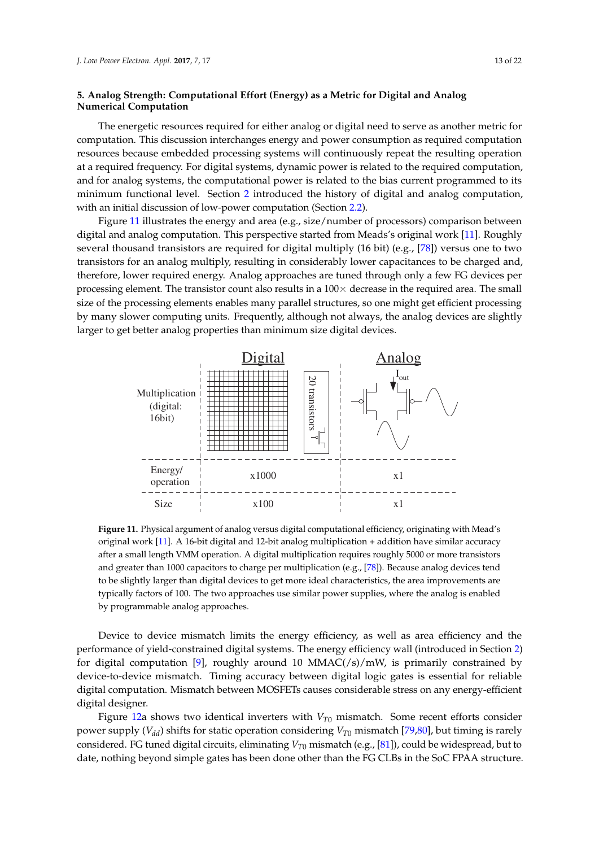# **5. Analog Strength: Computational Effort (Energy) as a Metric for Digital and Analog Numerical Computation**

The energetic resources required for either analog or digital need to serve as another metric for computation. This discussion interchanges energy and power consumption as required computation resources because embedded processing systems will continuously repeat the resulting operation at a required frequency. For digital systems, dynamic power is related to the required computation, and for analog systems, the computational power is related to the bias current programmed to its minimum functional level. Section [2](#page-1-1) introduced the history of digital and analog computation, with an initial discussion of low-power computation (Section [2.2\)](#page-2-1).

Figure [11](#page-12-0) illustrates the energy and area (e.g., size/number of processors) comparison between digital and analog computation. This perspective started from Meads's original work [\[11\]](#page-18-3). Roughly several thousand transistors are required for digital multiply (16 bit) (e.g., [\[78\]](#page-20-19)) versus one to two transistors for an analog multiply, resulting in considerably lower capacitances to be charged and, therefore, lower required energy. Analog approaches are tuned through only a few FG devices per processing element. The transistor count also results in a  $100 \times$  decrease in the required area. The small size of the processing elements enables many parallel structures, so one might get efficient processing by many slower computing units. Frequently, although not always, the analog devices are slightly larger to get better analog properties than minimum size digital devices.

<span id="page-12-0"></span>![](_page_12_Figure_4.jpeg)

**Figure 11.** Physical argument of analog versus digital computational efficiency, originating with Mead's original work [\[11\]](#page-18-3). A 16-bit digital and 12-bit analog multiplication + addition have similar accuracy after a small length VMM operation. A digital multiplication requires roughly 5000 or more transistors and greater than 1000 capacitors to charge per multiplication (e.g., [\[78\]](#page-20-19)). Because analog devices tend to be slightly larger than digital devices to get more ideal characteristics, the area improvements are typically factors of 100. The two approaches use similar power supplies, where the analog is enabled by programmable analog approaches.

Device to device mismatch limits the energy efficiency, as well as area efficiency and the performance of yield-constrained digital systems. The energy efficiency wall (introduced in Section [2\)](#page-1-1) for digital computation [\[9\]](#page-18-1), roughly around 10 MMAC $\left(\frac{s}{s}\right)$  mW, is primarily constrained by device-to-device mismatch. Timing accuracy between digital logic gates is essential for reliable digital computation. Mismatch between MOSFETs causes considerable stress on any energy-efficient digital designer.

Figure [12a](#page-13-0) shows two identical inverters with *VT*<sup>0</sup> mismatch. Some recent efforts consider power supply (*Vdd*) shifts for static operation considering *VT*<sup>0</sup> mismatch [\[79](#page-20-20)[,80\]](#page-20-21), but timing is rarely considered. FG tuned digital circuits, eliminating *VT*<sup>0</sup> mismatch (e.g., [\[81\]](#page-20-22)), could be widespread, but to date, nothing beyond simple gates has been done other than the FG CLBs in the SoC FPAA structure.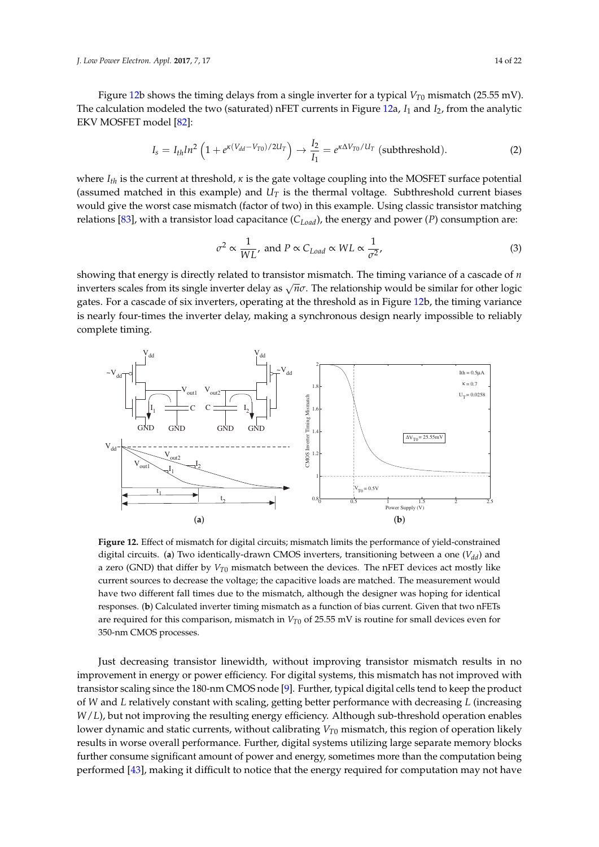*J. Low Power Electron. Appl.* **2017**, *7*, 17 14 of 22

Figure [12b](#page-13-0) shows the timing delays from a single inverter for a typical  $V_{T0}$  mismatch (25.55 mV). The calculation modeled the two (saturated) nFET currents in Figure [12a](#page-13-0), *I*<sup>1</sup> and *I*2, from the analytic EKV MOSFET model [\[82\]](#page-21-0):

$$
I_s = I_{th} ln^2 \left( 1 + e^{\kappa (V_{dd} - V_{T0})/2U_T} \right) \rightarrow \frac{I_2}{I_1} = e^{\kappa \Delta V_{T0}/U_T} \text{ (subthreshold)}.
$$
 (2)

where *Ith* is the current at threshold, *κ* is the gate voltage coupling into the MOSFET surface potential (assumed matched in this example) and  $U_T$  is the thermal voltage. Subthreshold current biases would give the worst case mismatch (factor of two) in this example. Using classic transistor matching relations [\[83\]](#page-21-1), with a transistor load capacitance (*CLoad*), the energy and power (*P*) consumption are:

$$
\sigma^2 \propto \frac{1}{WL}, \text{ and } P \propto C_{Load} \propto WL \propto \frac{1}{\sigma^2}, \tag{3}
$$

showing that energy is directly related to transistor mismatch. The timing variance of a cascade of *n* inverters scales from its single inverter delay as <sup>√</sup> *nσ*. The relationship would be similar for other logic gates. For a cascade of six inverters, operating at the threshold as in Figure [12b](#page-13-0), the timing variance is nearly four-times the inverter delay, making a synchronous design nearly impossible to reliably complete timing.

<span id="page-13-0"></span>![](_page_13_Figure_6.jpeg)

**Figure 12.** Effect of mismatch for digital circuits; mismatch limits the performance of yield-constrained digital circuits. (**a**) Two identically-drawn CMOS inverters, transitioning between a one (*Vdd*) and a zero (GND) that differ by  $V_{T0}$  mismatch between the devices. The nFET devices act mostly like current sources to decrease the voltage; the capacitive loads are matched. The measurement would have two different fall times due to the mismatch, although the designer was hoping for identical responses. (**b**) Calculated inverter timing mismatch as a function of bias current. Given that two nFETs are required for this comparison, mismatch in  $V_{T0}$  of 25.55 mV is routine for small devices even for 350-nm CMOS processes.

Just decreasing transistor linewidth, without improving transistor mismatch results in no improvement in energy or power efficiency. For digital systems, this mismatch has not improved with transistor scaling since the 180-nm CMOS node [\[9\]](#page-18-1). Further, typical digital cells tend to keep the product of *W* and *L* relatively constant with scaling, getting better performance with decreasing *L* (increasing *W*/*L*), but not improving the resulting energy efficiency. Although sub-threshold operation enables lower dynamic and static currents, without calibrating *VT*<sup>0</sup> mismatch, this region of operation likely results in worse overall performance. Further, digital systems utilizing large separate memory blocks further consume significant amount of power and energy, sometimes more than the computation being performed [\[43\]](#page-19-11), making it difficult to notice that the energy required for computation may not have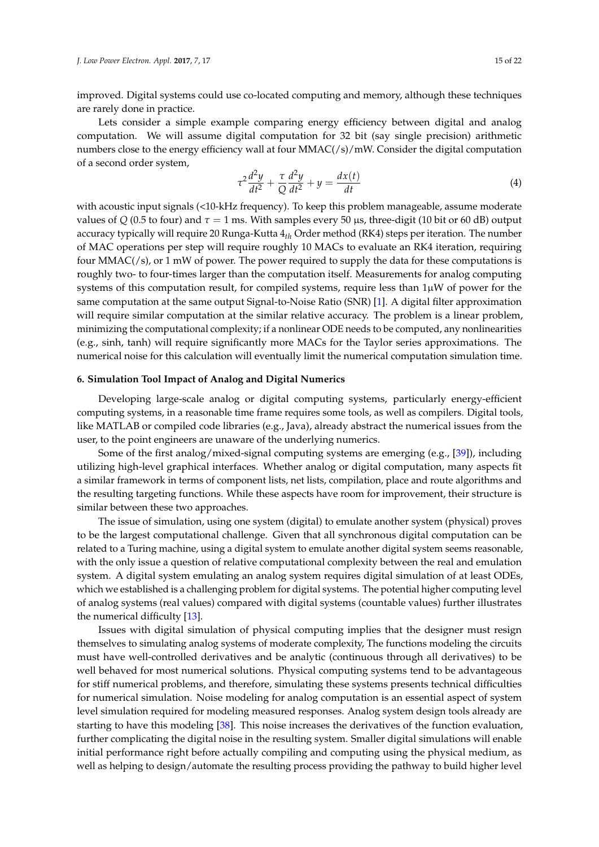improved. Digital systems could use co-located computing and memory, although these techniques are rarely done in practice.

Lets consider a simple example comparing energy efficiency between digital and analog computation. We will assume digital computation for 32 bit (say single precision) arithmetic numbers close to the energy efficiency wall at four  $MMAC(\frac{s}{m}$ . Consider the digital computation of a second order system,

$$
\tau^2 \frac{d^2 y}{dt^2} + \frac{\tau}{Q} \frac{d^2 y}{dt^2} + y = \frac{dx(t)}{dt}
$$
\n(4)

with acoustic input signals (<10-kHz frequency). To keep this problem manageable, assume moderate values of *Q* (0.5 to four) and  $τ = 1$  ms. With samples every 50 μs, three-digit (10 bit or 60 dB) output accuracy typically will require 20 Runga-Kutta 4*th* Order method (RK4) steps per iteration. The number of MAC operations per step will require roughly 10 MACs to evaluate an RK4 iteration, requiring four  $MMAC( $/s$ ), or 1 mW of power. The power required to supply the data for these computations is$ roughly two- to four-times larger than the computation itself. Measurements for analog computing systems of this computation result, for compiled systems, require less than  $1\mu$ W of power for the same computation at the same output Signal-to-Noise Ratio (SNR) [\[1\]](#page-17-0). A digital filter approximation will require similar computation at the similar relative accuracy. The problem is a linear problem, minimizing the computational complexity; if a nonlinear ODE needs to be computed, any nonlinearities (e.g., sinh, tanh) will require significantly more MACs for the Taylor series approximations. The numerical noise for this calculation will eventually limit the numerical computation simulation time.

# **6. Simulation Tool Impact of Analog and Digital Numerics**

Developing large-scale analog or digital computing systems, particularly energy-efficient computing systems, in a reasonable time frame requires some tools, as well as compilers. Digital tools, like MATLAB or compiled code libraries (e.g., Java), already abstract the numerical issues from the user, to the point engineers are unaware of the underlying numerics.

Some of the first analog/mixed-signal computing systems are emerging (e.g., [\[39\]](#page-19-7)), including utilizing high-level graphical interfaces. Whether analog or digital computation, many aspects fit a similar framework in terms of component lists, net lists, compilation, place and route algorithms and the resulting targeting functions. While these aspects have room for improvement, their structure is similar between these two approaches.

The issue of simulation, using one system (digital) to emulate another system (physical) proves to be the largest computational challenge. Given that all synchronous digital computation can be related to a Turing machine, using a digital system to emulate another digital system seems reasonable, with the only issue a question of relative computational complexity between the real and emulation system. A digital system emulating an analog system requires digital simulation of at least ODEs, which we established is a challenging problem for digital systems. The potential higher computing level of analog systems (real values) compared with digital systems (countable values) further illustrates the numerical difficulty [\[13\]](#page-18-5).

Issues with digital simulation of physical computing implies that the designer must resign themselves to simulating analog systems of moderate complexity, The functions modeling the circuits must have well-controlled derivatives and be analytic (continuous through all derivatives) to be well behaved for most numerical solutions. Physical computing systems tend to be advantageous for stiff numerical problems, and therefore, simulating these systems presents technical difficulties for numerical simulation. Noise modeling for analog computation is an essential aspect of system level simulation required for modeling measured responses. Analog system design tools already are starting to have this modeling [\[38\]](#page-19-6). This noise increases the derivatives of the function evaluation, further complicating the digital noise in the resulting system. Smaller digital simulations will enable initial performance right before actually compiling and computing using the physical medium, as well as helping to design/automate the resulting process providing the pathway to build higher level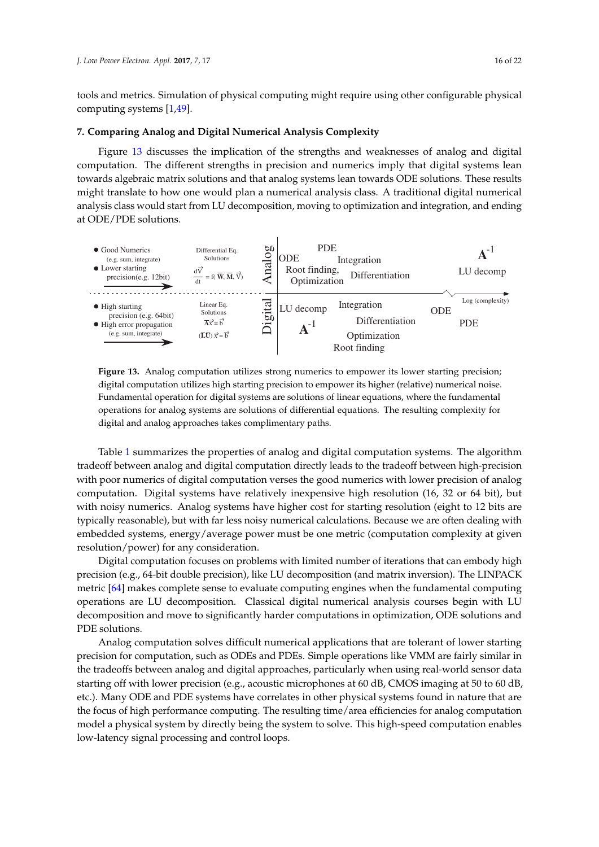tools and metrics. Simulation of physical computing might require using other configurable physical computing systems [\[1](#page-17-0)[,49\]](#page-19-17).

# **7. Comparing Analog and Digital Numerical Analysis Complexity**

Figure [13](#page-15-0) discusses the implication of the strengths and weaknesses of analog and digital computation. The different strengths in precision and numerics imply that digital systems lean towards algebraic matrix solutions and that analog systems lean towards ODE solutions. These results might translate to how one would plan a numerical analysis class. A traditional digital numerical analysis class would start from LU decomposition, moving to optimization and integration, and ending at ODE/PDE solutions.

<span id="page-15-0"></span>![](_page_15_Figure_4.jpeg)

**Figure 13.** Analog computation utilizes strong numerics to empower its lower starting precision; digital computation utilizes high starting precision to empower its higher (relative) numerical noise. Fundamental operation for digital systems are solutions of linear equations, where the fundamental operations for analog systems are solutions of differential equations. The resulting complexity for digital and analog approaches takes complimentary paths.

Table [1](#page-16-0) summarizes the properties of analog and digital computation systems. The algorithm tradeoff between analog and digital computation directly leads to the tradeoff between high-precision with poor numerics of digital computation verses the good numerics with lower precision of analog computation. Digital systems have relatively inexpensive high resolution (16, 32 or 64 bit), but with noisy numerics. Analog systems have higher cost for starting resolution (eight to 12 bits are typically reasonable), but with far less noisy numerical calculations. Because we are often dealing with embedded systems, energy/average power must be one metric (computation complexity at given resolution/power) for any consideration.

Digital computation focuses on problems with limited number of iterations that can embody high precision (e.g., 64-bit double precision), like LU decomposition (and matrix inversion). The LINPACK metric [\[64\]](#page-20-6) makes complete sense to evaluate computing engines when the fundamental computing operations are LU decomposition. Classical digital numerical analysis courses begin with LU decomposition and move to significantly harder computations in optimization, ODE solutions and PDE solutions.

Analog computation solves difficult numerical applications that are tolerant of lower starting precision for computation, such as ODEs and PDEs. Simple operations like VMM are fairly similar in the tradeoffs between analog and digital approaches, particularly when using real-world sensor data starting off with lower precision (e.g., acoustic microphones at 60 dB, CMOS imaging at 50 to 60 dB, etc.). Many ODE and PDE systems have correlates in other physical systems found in nature that are the focus of high performance computing. The resulting time/area efficiencies for analog computation model a physical system by directly being the system to solve. This high-speed computation enables low-latency signal processing and control loops.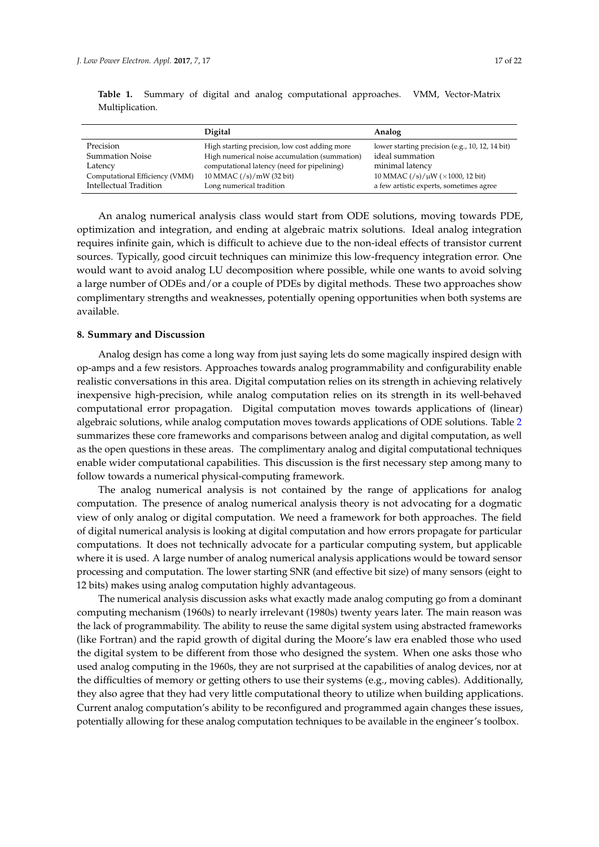| wuuupucauon.                        |                                                                                                |                                                                    |
|-------------------------------------|------------------------------------------------------------------------------------------------|--------------------------------------------------------------------|
|                                     | <b>Digital</b>                                                                                 | Analog                                                             |
| Precision<br><b>Summation Noise</b> | High starting precision, low cost adding more<br>High numerical noise accumulation (summation) | lower starting precision (e.g., 10, 12, 14 bit)<br>ideal summation |

10 MMAC  $(\frac{/s}{mW})$  (32 bit) 10 MMAC  $(\frac{/s}{\mu W})$  ( $\times$  1000, 12 bit)

<span id="page-16-0"></span>**Table 1.** Summary of digital and analog computational approaches. VMM, Vector-Matrix Multiplication.

Latency computational latency (need for pipelining) minimal latency<br>
Computational Efficiency (VMM) 10 MMAC (/s)/mW (32 bit) 10 MMAC (/s)/ $\mu$ 

An analog numerical analysis class would start from ODE solutions, moving towards PDE, optimization and integration, and ending at algebraic matrix solutions. Ideal analog integration requires infinite gain, which is difficult to achieve due to the non-ideal effects of transistor current sources. Typically, good circuit techniques can minimize this low-frequency integration error. One would want to avoid analog LU decomposition where possible, while one wants to avoid solving a large number of ODEs and/or a couple of PDEs by digital methods. These two approaches show complimentary strengths and weaknesses, potentially opening opportunities when both systems are available.

Intellectual Tradition Long numerical tradition a few artistic experts, sometimes agree

#### **8. Summary and Discussion**

Analog design has come a long way from just saying lets do some magically inspired design with op-amps and a few resistors. Approaches towards analog programmability and configurability enable realistic conversations in this area. Digital computation relies on its strength in achieving relatively inexpensive high-precision, while analog computation relies on its strength in its well-behaved computational error propagation. Digital computation moves towards applications of (linear) algebraic solutions, while analog computation moves towards applications of ODE solutions. Table [2](#page-17-2) summarizes these core frameworks and comparisons between analog and digital computation, as well as the open questions in these areas. The complimentary analog and digital computational techniques enable wider computational capabilities. This discussion is the first necessary step among many to follow towards a numerical physical-computing framework.

The analog numerical analysis is not contained by the range of applications for analog computation. The presence of analog numerical analysis theory is not advocating for a dogmatic view of only analog or digital computation. We need a framework for both approaches. The field of digital numerical analysis is looking at digital computation and how errors propagate for particular computations. It does not technically advocate for a particular computing system, but applicable where it is used. A large number of analog numerical analysis applications would be toward sensor processing and computation. The lower starting SNR (and effective bit size) of many sensors (eight to 12 bits) makes using analog computation highly advantageous.

The numerical analysis discussion asks what exactly made analog computing go from a dominant computing mechanism (1960s) to nearly irrelevant (1980s) twenty years later. The main reason was the lack of programmability. The ability to reuse the same digital system using abstracted frameworks (like Fortran) and the rapid growth of digital during the Moore's law era enabled those who used the digital system to be different from those who designed the system. When one asks those who used analog computing in the 1960s, they are not surprised at the capabilities of analog devices, nor at the difficulties of memory or getting others to use their systems (e.g., moving cables). Additionally, they also agree that they had very little computational theory to utilize when building applications. Current analog computation's ability to be reconfigured and programmed again changes these issues, potentially allowing for these analog computation techniques to be available in the engineer's toolbox.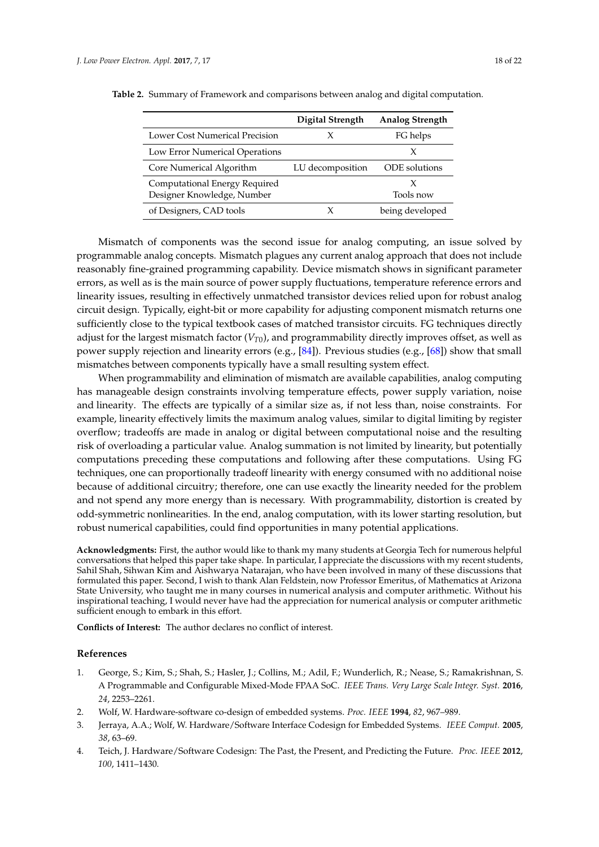|                                                             | Digital Strength | <b>Analog Strength</b> |
|-------------------------------------------------------------|------------------|------------------------|
| Lower Cost Numerical Precision                              |                  | FG helps               |
| Low Error Numerical Operations                              |                  |                        |
| Core Numerical Algorithm                                    | LU decomposition | ODE solutions          |
| Computational Energy Required<br>Designer Knowledge, Number |                  | Tools now              |
| of Designers, CAD tools                                     |                  | being developed        |

<span id="page-17-2"></span>**Table 2.** Summary of Framework and comparisons between analog and digital computation.

Mismatch of components was the second issue for analog computing, an issue solved by programmable analog concepts. Mismatch plagues any current analog approach that does not include reasonably fine-grained programming capability. Device mismatch shows in significant parameter errors, as well as is the main source of power supply fluctuations, temperature reference errors and linearity issues, resulting in effectively unmatched transistor devices relied upon for robust analog circuit design. Typically, eight-bit or more capability for adjusting component mismatch returns one sufficiently close to the typical textbook cases of matched transistor circuits. FG techniques directly adjust for the largest mismatch factor  $(V_{T0})$ , and programmability directly improves offset, as well as power supply rejection and linearity errors (e.g., [\[84\]](#page-21-2)). Previous studies (e.g., [\[68\]](#page-20-23)) show that small mismatches between components typically have a small resulting system effect.

When programmability and elimination of mismatch are available capabilities, analog computing has manageable design constraints involving temperature effects, power supply variation, noise and linearity. The effects are typically of a similar size as, if not less than, noise constraints. For example, linearity effectively limits the maximum analog values, similar to digital limiting by register overflow; tradeoffs are made in analog or digital between computational noise and the resulting risk of overloading a particular value. Analog summation is not limited by linearity, but potentially computations preceding these computations and following after these computations. Using FG techniques, one can proportionally tradeoff linearity with energy consumed with no additional noise because of additional circuitry; therefore, one can use exactly the linearity needed for the problem and not spend any more energy than is necessary. With programmability, distortion is created by odd-symmetric nonlinearities. In the end, analog computation, with its lower starting resolution, but robust numerical capabilities, could find opportunities in many potential applications.

**Acknowledgments:** First, the author would like to thank my many students at Georgia Tech for numerous helpful conversations that helped this paper take shape. In particular, I appreciate the discussions with my recent students, Sahil Shah, Sihwan Kim and Aishwarya Natarajan, who have been involved in many of these discussions that formulated this paper. Second, I wish to thank Alan Feldstein, now Professor Emeritus, of Mathematics at Arizona State University, who taught me in many courses in numerical analysis and computer arithmetic. Without his inspirational teaching, I would never have had the appreciation for numerical analysis or computer arithmetic sufficient enough to embark in this effort.

**Conflicts of Interest:** The author declares no conflict of interest.

#### **References**

- <span id="page-17-0"></span>1. George, S.; Kim, S.; Shah, S.; Hasler, J.; Collins, M.; Adil, F.; Wunderlich, R.; Nease, S.; Ramakrishnan, S. A Programmable and Configurable Mixed-Mode FPAA SoC. *IEEE Trans. Very Large Scale Integr. Syst.* **2016**, *24*, 2253–2261.
- <span id="page-17-1"></span>2. Wolf, W. Hardware-software co-design of embedded systems. *Proc. IEEE* **1994**, *82*, 967–989.
- 3. Jerraya, A.A.; Wolf, W. Hardware/Software Interface Codesign for Embedded Systems. *IEEE Comput.* **2005**, *38*, 63–69.
- 4. Teich, J. Hardware/Software Codesign: The Past, the Present, and Predicting the Future. *Proc. IEEE* **2012**, *100*, 1411–1430.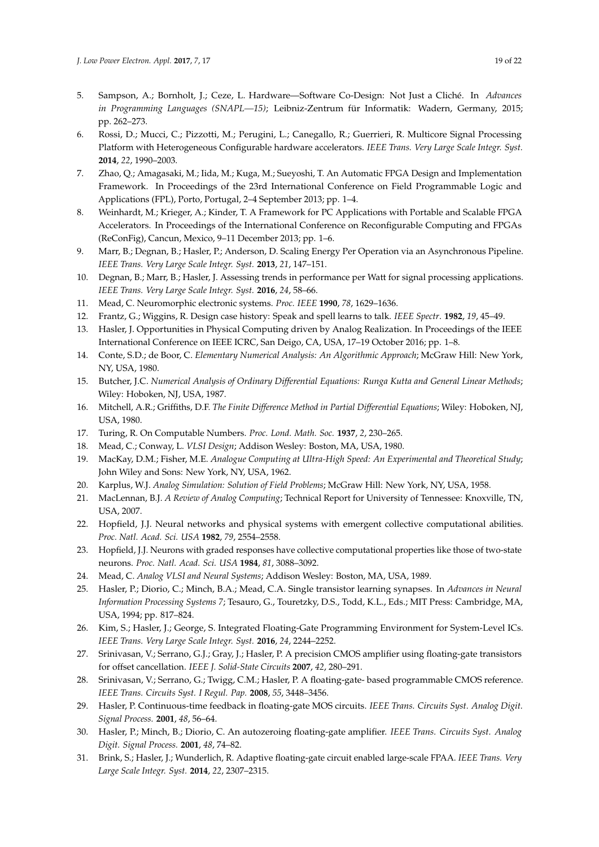- 5. Sampson, A.; Bornholt, J.; Ceze, L. Hardware—Software Co-Design: Not Just a Cliché. In *Advances in Programming Languages (SNAPL—15)*; Leibniz-Zentrum für Informatik: Wadern, Germany, 2015; pp. 262–273.
- 6. Rossi, D.; Mucci, C.; Pizzotti, M.; Perugini, L.; Canegallo, R.; Guerrieri, R. Multicore Signal Processing Platform with Heterogeneous Configurable hardware accelerators. *IEEE Trans. Very Large Scale Integr. Syst.* **2014**, *22*, 1990–2003.
- 7. Zhao, Q.; Amagasaki, M.; Iida, M.; Kuga, M.; Sueyoshi, T. An Automatic FPGA Design and Implementation Framework. In Proceedings of the 23rd International Conference on Field Programmable Logic and Applications (FPL), Porto, Portugal, 2–4 September 2013; pp. 1–4.
- <span id="page-18-0"></span>8. Weinhardt, M.; Krieger, A.; Kinder, T. A Framework for PC Applications with Portable and Scalable FPGA Accelerators. In Proceedings of the International Conference on Reconfigurable Computing and FPGAs (ReConFig), Cancun, Mexico, 9–11 December 2013; pp. 1–6.
- <span id="page-18-1"></span>9. Marr, B.; Degnan, B.; Hasler, P.; Anderson, D. Scaling Energy Per Operation via an Asynchronous Pipeline. *IEEE Trans. Very Large Scale Integr. Syst.* **2013**, *21*, 147–151.
- <span id="page-18-2"></span>10. Degnan, B.; Marr, B.; Hasler, J. Assessing trends in performance per Watt for signal processing applications. *IEEE Trans. Very Large Scale Integr. Syst.* **2016**, *24*, 58–66.
- <span id="page-18-3"></span>11. Mead, C. Neuromorphic electronic systems. *Proc. IEEE* **1990**, *78*, 1629–1636.
- <span id="page-18-4"></span>12. Frantz, G.; Wiggins, R. Design case history: Speak and spell learns to talk. *IEEE Spectr*. **1982**, *19*, 45–49.
- <span id="page-18-5"></span>13. Hasler, J. Opportunities in Physical Computing driven by Analog Realization. In Proceedings of the IEEE International Conference on IEEE ICRC, San Deigo, CA, USA, 17–19 October 2016; pp. 1–8.
- <span id="page-18-6"></span>14. Conte, S.D.; de Boor, C. *Elementary Numerical Analysis: An Algorithmic Approach*; McGraw Hill: New York, NY, USA, 1980.
- <span id="page-18-22"></span>15. Butcher, J.C. *Numerical Analysis of Ordinary Differential Equations: Runga Kutta and General Linear Methods*; Wiley: Hoboken, NJ, USA, 1987.
- <span id="page-18-7"></span>16. Mitchell, A.R.; Griffiths, D.F. *The Finite Difference Method in Partial Differential Equations*; Wiley: Hoboken, NJ, USA, 1980.
- <span id="page-18-8"></span>17. Turing, R. On Computable Numbers. *Proc. Lond. Math. Soc.* **1937**, *2*, 230–265.
- <span id="page-18-9"></span>18. Mead, C.; Conway, L. *VLSI Design*; Addison Wesley: Boston, MA, USA, 1980.
- <span id="page-18-10"></span>19. MacKay, D.M.; Fisher, M.E. *Analogue Computing at Ultra-High Speed: An Experimental and Theoretical Study*; John Wiley and Sons: New York, NY, USA, 1962.
- <span id="page-18-11"></span>20. Karplus, W.J. *Analog Simulation: Solution of Field Problems*; McGraw Hill: New York, NY, USA, 1958.
- <span id="page-18-12"></span>21. MacLennan, B.J. *A Review of Analog Computing*; Technical Report for University of Tennessee: Knoxville, TN, USA, 2007.
- <span id="page-18-13"></span>22. Hopfield, J.J. Neural networks and physical systems with emergent collective computational abilities. *Proc. Natl. Acad. Sci. USA* **1982**, *79*, 2554–2558.
- 23. Hopfield, J.J. Neurons with graded responses have collective computational properties like those of two-state neurons. *Proc. Natl. Acad. Sci. USA* **1984**, *81*, 3088–3092.
- <span id="page-18-14"></span>24. Mead, C. *Analog VLSI and Neural Systems*; Addison Wesley: Boston, MA, USA, 1989.
- <span id="page-18-15"></span>25. Hasler, P.; Diorio, C.; Minch, B.A.; Mead, C.A. Single transistor learning synapses. In *Advances in Neural Information Processing Systems 7*; Tesauro, G., Touretzky, D.S., Todd, K.L., Eds.; MIT Press: Cambridge, MA, USA, 1994; pp. 817–824.
- <span id="page-18-16"></span>26. Kim, S.; Hasler, J.; George, S. Integrated Floating-Gate Programming Environment for System-Level ICs. *IEEE Trans. Very Large Scale Integr. Syst.* **2016**, *24*, 2244–2252.
- <span id="page-18-17"></span>27. Srinivasan, V.; Serrano, G.J.; Gray, J.; Hasler, P. A precision CMOS amplifier using floating-gate transistors for offset cancellation. *IEEE J. Solid-State Circuits* **2007**, *42*, 280–291.
- <span id="page-18-18"></span>28. Srinivasan, V.; Serrano, G.; Twigg, C.M.; Hasler, P. A floating-gate- based programmable CMOS reference. *IEEE Trans. Circuits Syst. I Regul. Pap.* **2008**, *55*, 3448–3456.
- <span id="page-18-19"></span>29. Hasler, P. Continuous-time feedback in floating-gate MOS circuits. *IEEE Trans. Circuits Syst. Analog Digit. Signal Process.* **2001**, *48*, 56–64.
- <span id="page-18-20"></span>30. Hasler, P.; Minch, B.; Diorio, C. An autozeroing floating-gate amplifier. *IEEE Trans. Circuits Syst. Analog Digit. Signal Process.* **2001**, *48*, 74–82.
- <span id="page-18-21"></span>31. Brink, S.; Hasler, J.; Wunderlich, R. Adaptive floating-gate circuit enabled large-scale FPAA. *IEEE Trans. Very Large Scale Integr. Syst.* **2014**, *22*, 2307–2315.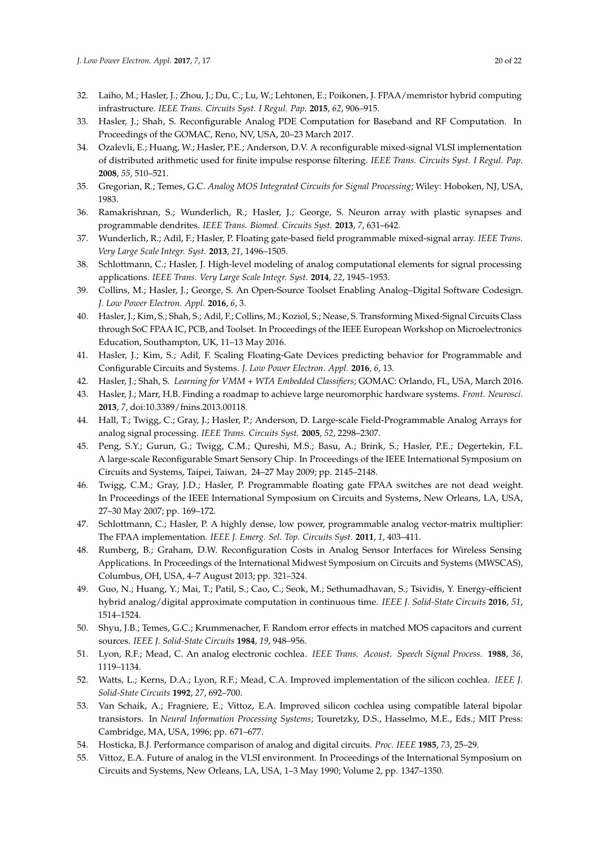- <span id="page-19-0"></span>32. Laiho, M.; Hasler, J.; Zhou, J.; Du, C.; Lu, W.; Lehtonen, E.; Poikonen, J. FPAA/memristor hybrid computing infrastructure. *IEEE Trans. Circuits Syst. I Regul. Pap.* **2015**, *62*, 906–915.
- <span id="page-19-1"></span>33. Hasler, J.; Shah, S. Reconfigurable Analog PDE Computation for Baseband and RF Computation. In Proceedings of the GOMAC, Reno, NV, USA, 20–23 March 2017.
- <span id="page-19-2"></span>34. Ozalevli, E.; Huang, W.; Hasler, P.E.; Anderson, D.V. A reconfigurable mixed-signal VLSI implementation of distributed arithmetic used for finite impulse response filtering. *IEEE Trans. Circuits Syst. I Regul. Pap.* **2008**, *55*, 510–521.
- <span id="page-19-3"></span>35. Gregorian, R.; Temes, G.C. *Analog MOS Integrated Circuits for Signal Processing*; Wiley: Hoboken, NJ, USA, 1983.
- <span id="page-19-4"></span>36. Ramakrishnan, S.; Wunderlich, R.; Hasler, J.; George, S. Neuron array with plastic synapses and programmable dendrites. *IEEE Trans. Biomed. Circuits Syst.* **2013**, *7*, 631–642.
- <span id="page-19-5"></span>37. Wunderlich, R.; Adil, F.; Hasler, P. Floating gate-based field programmable mixed-signal array. *IEEE Trans. Very Large Scale Integr. Syst.* **2013**, *21*, 1496–1505.
- <span id="page-19-6"></span>38. Schlottmann, C.; Hasler, J. High-level modeling of analog computational elements for signal processing applications. *IEEE Trans. Very Large Scale Integr. Syst.* **2014**, *22*, 1945–1953.
- <span id="page-19-7"></span>39. Collins, M.; Hasler, J.; George, S. An Open-Source Toolset Enabling Analog–Digital Software Codesign. *J. Low Power Electron. Appl.* **2016**, *6*, 3.
- <span id="page-19-8"></span>40. Hasler, J.; Kim, S.; Shah, S.; Adil, F.; Collins, M.; Koziol, S.; Nease, S. Transforming Mixed-Signal Circuits Class through SoC FPAA IC, PCB, and Toolset. In Proceedings of the IEEE European Workshop on Microelectronics Education, Southampton, UK, 11–13 May 2016.
- <span id="page-19-9"></span>41. Hasler, J.; Kim, S.; Adil, F. Scaling Floating-Gate Devices predicting behavior for Programmable and Configurable Circuits and Systems. *J. Low Power Electron. Appl.* **2016**, *6*, 13.
- <span id="page-19-10"></span>42. Hasler, J.; Shah, S. *Learning for VMM + WTA Embedded Classifiers*; GOMAC: Orlando, FL, USA, March 2016.
- <span id="page-19-11"></span>43. Hasler, J.; Marr, H.B. Finding a roadmap to achieve large neuromorphic hardware systems. *Front. Neurosci.* **2013**, *7*, doi:10.3389/fnins.2013.00118.
- <span id="page-19-12"></span>44. Hall, T.; Twigg, C.; Gray, J.; Hasler, P.; Anderson, D. Large-scale Field-Programmable Analog Arrays for analog signal processing. *IEEE Trans. Circuits Syst.* **2005**, *52*, 2298–2307.
- <span id="page-19-13"></span>45. Peng, S.Y.; Gurun, G.; Twigg, C.M.; Qureshi, M.S.; Basu, A.; Brink, S.; Hasler, P.E.; Degertekin, F.L. A large-scale Reconfigurable Smart Sensory Chip. In Proceedings of the IEEE International Symposium on Circuits and Systems, Taipei, Taiwan, 24–27 May 2009; pp. 2145–2148.
- <span id="page-19-14"></span>46. Twigg, C.M.; Gray, J.D.; Hasler, P. Programmable floating gate FPAA switches are not dead weight. In Proceedings of the IEEE International Symposium on Circuits and Systems, New Orleans, LA, USA, 27–30 May 2007; pp. 169–172.
- <span id="page-19-15"></span>47. Schlottmann, C.; Hasler, P. A highly dense, low power, programmable analog vector-matrix multiplier: The FPAA implementation. *IEEE J. Emerg. Sel. Top. Circuits Syst.* **2011**, *1*, 403–411.
- <span id="page-19-16"></span>48. Rumberg, B.; Graham, D.W. Reconfiguration Costs in Analog Sensor Interfaces for Wireless Sensing Applications. In Proceedings of the International Midwest Symposium on Circuits and Systems (MWSCAS), Columbus, OH, USA, 4–7 August 2013; pp. 321–324.
- <span id="page-19-17"></span>49. Guo, N.; Huang, Y.; Mai, T.; Patil, S.; Cao, C.; Seok, M.; Sethumadhavan, S.; Tsividis, Y. Energy-efficient hybrid analog/digital approximate computation in continuous time. *IEEE J. Solid-State Circuits* **2016**, *51*, 1514–1524.
- <span id="page-19-18"></span>50. Shyu, J.B.; Temes, G.C.; Krummenacher, F. Random error effects in matched MOS capacitors and current sources. *IEEE J. Solid-State Circuits* **1984**, *19*, 948–956.
- <span id="page-19-19"></span>51. Lyon, R.F.; Mead, C. An analog electronic cochlea. *IEEE Trans. Acoust. Speech Signal Process.* **1988**, *36*, 1119–1134.
- <span id="page-19-20"></span>52. Watts, L.; Kerns, D.A.; Lyon, R.F.; Mead, C.A. Improved implementation of the silicon cochlea. *IEEE J. Solid-State Circuits* **1992**, *27*, 692–700.
- <span id="page-19-21"></span>53. Van Schaik, A.; Fragniere, E.; Vittoz, E.A. Improved silicon cochlea using compatible lateral bipolar transistors. In *Neural Information Processing Systems*; Touretzky, D.S., Hasselmo, M.E., Eds.; MIT Press: Cambridge, MA, USA, 1996; pp. 671–677.
- <span id="page-19-22"></span>54. Hosticka, B.J. Performance comparison of analog and digital circuits. *Proc. IEEE* **1985**, *73*, 25–29.
- <span id="page-19-23"></span>55. Vittoz, E.A. Future of analog in the VLSI environment. In Proceedings of the International Symposium on Circuits and Systems, New Orleans, LA, USA, 1–3 May 1990; Volume 2, pp. 1347–1350.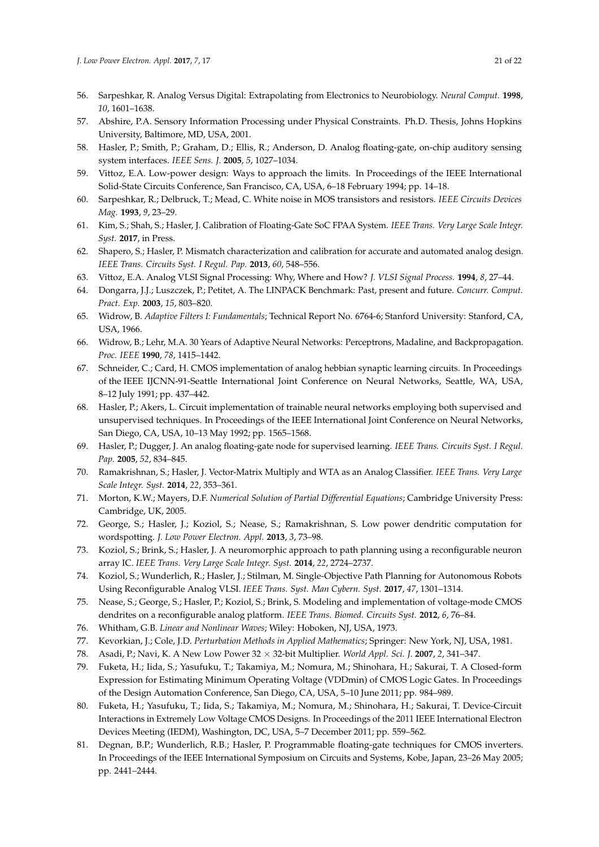- <span id="page-20-0"></span>56. Sarpeshkar, R. Analog Versus Digital: Extrapolating from Electronics to Neurobiology. *Neural Comput.* **1998**, *10*, 1601–1638.
- 57. Abshire, P.A. Sensory Information Processing under Physical Constraints. Ph.D. Thesis, Johns Hopkins University, Baltimore, MD, USA, 2001.
- 58. Hasler, P.; Smith, P.; Graham, D.; Ellis, R.; Anderson, D. Analog floating-gate, on-chip auditory sensing system interfaces. *IEEE Sens. J.* **2005**, *5*, 1027–1034.
- <span id="page-20-1"></span>59. Vittoz, E.A. Low-power design: Ways to approach the limits. In Proceedings of the IEEE International Solid-State Circuits Conference, San Francisco, CA, USA, 6–18 February 1994; pp. 14–18.
- <span id="page-20-2"></span>60. Sarpeshkar, R.; Delbruck, T.; Mead, C. White noise in MOS transistors and resistors. *IEEE Circuits Devices Mag.* **1993**, *9*, 23–29.
- <span id="page-20-3"></span>61. Kim, S.; Shah, S.; Hasler, J. Calibration of Floating-Gate SoC FPAA System. *IEEE Trans. Very Large Scale Integr. Syst.* **2017**, in Press.
- <span id="page-20-4"></span>62. Shapero, S.; Hasler, P. Mismatch characterization and calibration for accurate and automated analog design. *IEEE Trans. Circuits Syst. I Regul. Pap.* **2013**, *60*, 548–556.
- <span id="page-20-5"></span>63. Vittoz, E.A. Analog VLSI Signal Processing: Why, Where and How? *J. VLSI Signal Process.* **1994**, *8*, 27–44.
- <span id="page-20-6"></span>64. Dongarra, J.J.; Luszczek, P.; Petitet, A. The LINPACK Benchmark: Past, present and future. *Concurr. Comput. Pract. Exp.* **2003**, *15*, 803–820.
- <span id="page-20-7"></span>65. Widrow, B. *Adaptive Filters I: Fundamentals*; Technical Report No. 6764-6; Stanford University: Stanford, CA, USA, 1966.
- <span id="page-20-8"></span>66. Widrow, B.; Lehr, M.A. 30 Years of Adaptive Neural Networks: Perceptrons, Madaline, and Backpropagation. *Proc. IEEE* **1990**, *78*, 1415–1442.
- <span id="page-20-9"></span>67. Schneider, C.; Card, H. CMOS implementation of analog hebbian synaptic learning circuits. In Proceedings of the IEEE IJCNN-91-Seattle International Joint Conference on Neural Networks, Seattle, WA, USA, 8–12 July 1991; pp. 437–442.
- <span id="page-20-23"></span>68. Hasler, P.; Akers, L. Circuit implementation of trainable neural networks employing both supervised and unsupervised techniques. In Proceedings of the IEEE International Joint Conference on Neural Networks, San Diego, CA, USA, 10–13 May 1992; pp. 1565–1568.
- <span id="page-20-10"></span>69. Hasler, P.; Dugger, J. An analog floating-gate node for supervised learning. *IEEE Trans. Circuits Syst. I Regul. Pap.* **2005**, *52*, 834–845.
- <span id="page-20-11"></span>70. Ramakrishnan, S.; Hasler, J. Vector-Matrix Multiply and WTA as an Analog Classifier. *IEEE Trans. Very Large Scale Integr. Syst.* **2014**, *22*, 353–361.
- <span id="page-20-12"></span>71. Morton, K.W.; Mayers, D.F. *Numerical Solution of Partial Differential Equations*; Cambridge University Press: Cambridge, UK, 2005.
- <span id="page-20-13"></span>72. George, S.; Hasler, J.; Koziol, S.; Nease, S.; Ramakrishnan, S. Low power dendritic computation for wordspotting. *J. Low Power Electron. Appl.* **2013**, *3*, 73–98.
- <span id="page-20-16"></span>73. Koziol, S.; Brink, S.; Hasler, J. A neuromorphic approach to path planning using a reconfigurable neuron array IC. *IEEE Trans. Very Large Scale Integr. Syst.* **2014**, *22*, 2724–2737.
- <span id="page-20-14"></span>74. Koziol, S.; Wunderlich, R.; Hasler, J.; Stilman, M. Single-Objective Path Planning for Autonomous Robots Using Reconfigurable Analog VLSI. *IEEE Trans. Syst. Man Cybern. Syst.* **2017**, *47*, 1301–1314.
- <span id="page-20-15"></span>75. Nease, S.; George, S.; Hasler, P.; Koziol, S.; Brink, S. Modeling and implementation of voltage-mode CMOS dendrites on a reconfigurable analog platform. *IEEE Trans. Biomed. Circuits Syst.* **2012**, *6*, 76–84.
- <span id="page-20-17"></span>76. Whitham, G.B. *Linear and Nonlinear Waves*; Wiley: Hoboken, NJ, USA, 1973.
- <span id="page-20-18"></span>77. Kevorkian, J.; Cole, J.D. *Perturbation Methods in Applied Mathematics*; Springer: New York, NJ, USA, 1981.
- <span id="page-20-19"></span>78. Asadi, P.; Navi, K. A New Low Power 32 × 32-bit Multiplier. *World Appl. Sci. J.* **2007**, *2*, 341–347.
- <span id="page-20-20"></span>79. Fuketa, H.; Iida, S.; Yasufuku, T.; Takamiya, M.; Nomura, M.; Shinohara, H.; Sakurai, T. A Closed-form Expression for Estimating Minimum Operating Voltage (VDDmin) of CMOS Logic Gates. In Proceedings of the Design Automation Conference, San Diego, CA, USA, 5–10 June 2011; pp. 984–989.
- <span id="page-20-21"></span>80. Fuketa, H.; Yasufuku, T.; Iida, S.; Takamiya, M.; Nomura, M.; Shinohara, H.; Sakurai, T. Device-Circuit Interactions in Extremely Low Voltage CMOS Designs. In Proceedings of the 2011 IEEE International Electron Devices Meeting (IEDM), Washington, DC, USA, 5–7 December 2011; pp. 559–562.
- <span id="page-20-22"></span>81. Degnan, B.P.; Wunderlich, R.B.; Hasler, P. Programmable floating-gate techniques for CMOS inverters. In Proceedings of the IEEE International Symposium on Circuits and Systems, Kobe, Japan, 23–26 May 2005; pp. 2441–2444.